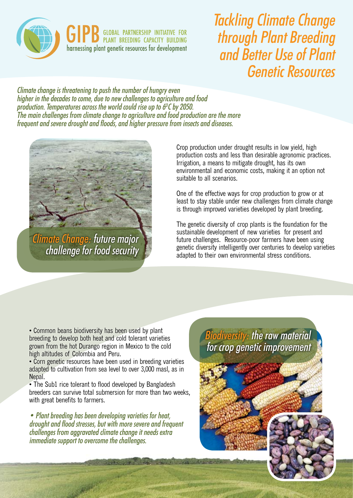

Tackling Climate Change through Plant Breeding and Better Use of Plant Genetic Resources

Climate change is threatening to push the number of hungry even higher in the decades to come, due to new challenges to agriculture and food production. Temperatures across the world could rise up to  $6^{\circ}$ C by 2050. The main challenges from climate change to agriculture and food production are the more frequent and severe drought and floods, and higher pressure from insects and diseases.



Climate Change: future major challenge for food security

Crop production under drought results in low yield, high production costs and less than desirable agronomic practices. Irrigation, a means to mitigate drought, has its own environmental and economic costs, making it an option not suitable to all scenarios.

One of the effective ways for crop production to grow or at least to stay stable under new challenges from climate change is through improved varieties developed by plant breeding.

The genetic diversity of crop plants is the foundation for the sustainable development of new varieties for present and future challenges. Resource-poor farmers have been using genetic diversity intelligently over centuries to develop varieties adapted to their own environmental stress conditions.

• Common beans biodiversity has been used by plant breeding to develop both heat and cold tolerant varieties grown from the hot Durango region in Mexico to the cold high altitudes of Colombia and Peru.

• Corn genetic resources have been used in breeding varieties adapted to cultivation from sea level to over 3,000 masl, as in Nepal.

• The Sub1 rice tolerant to flood developed by Bangladesh breeders can survive total submersion for more than two weeks, with great benefits to farmers.

• Plant breeding has been developing varieties for heat, drought and flood stresses, but with more severe and frequent challenges from aggravated climate change it needs extra immediate support to overcome the challenges.

Biodiversity: the raw material for crop genetic improvement